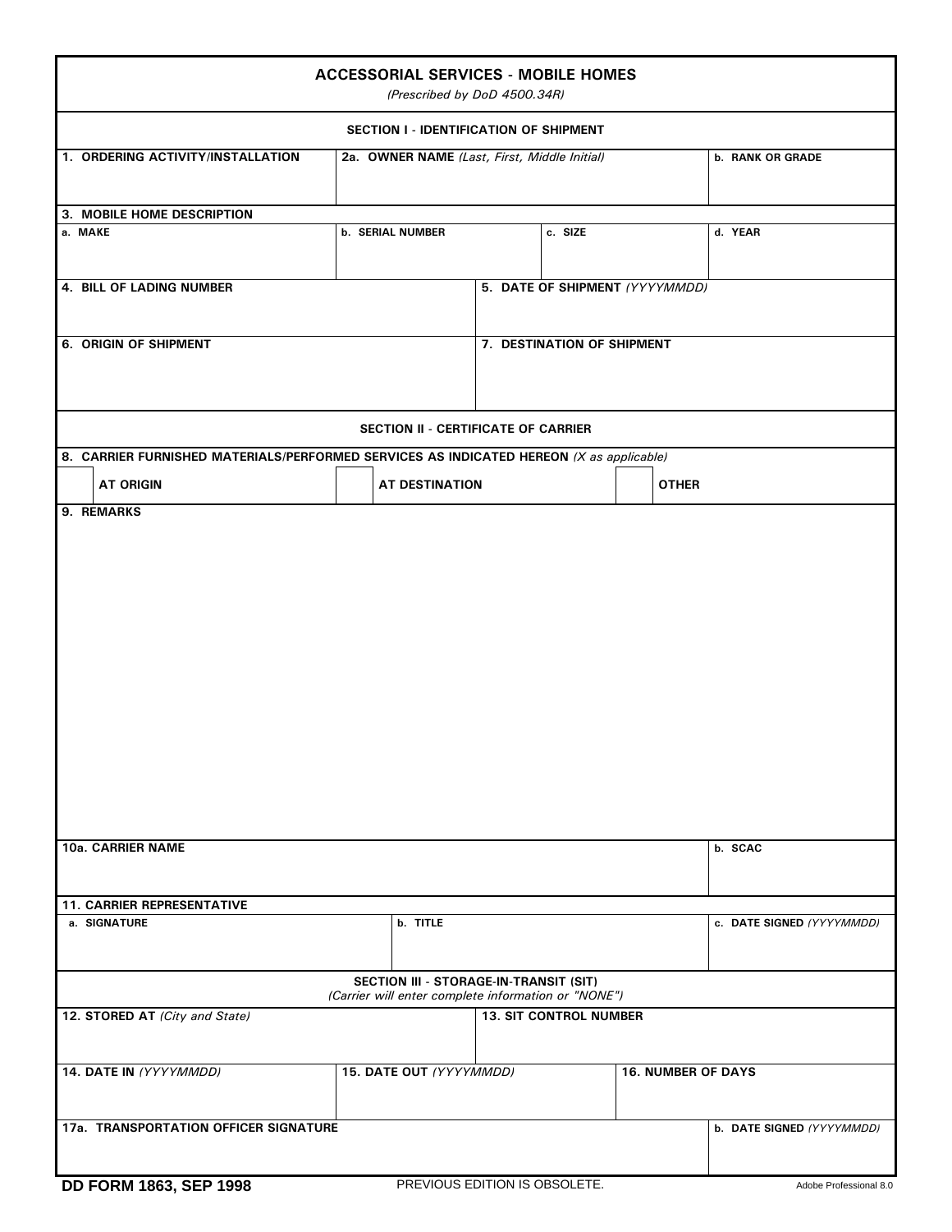| <b>ACCESSORIAL SERVICES - MOBILE HOMES</b><br>(Prescribed by DoD 4500.34R)                                      |                                                                                         |  |                            |                                |                           |  |  |
|-----------------------------------------------------------------------------------------------------------------|-----------------------------------------------------------------------------------------|--|----------------------------|--------------------------------|---------------------------|--|--|
| SECTION I - IDENTIFICATION OF SHIPMENT                                                                          |                                                                                         |  |                            |                                |                           |  |  |
| 1. ORDERING ACTIVITY/INSTALLATION                                                                               | 2a. OWNER NAME (Last, First, Middle Initial)                                            |  |                            |                                | <b>b. RANK OR GRADE</b>   |  |  |
| 3. MOBILE HOME DESCRIPTION                                                                                      |                                                                                         |  |                            |                                |                           |  |  |
| a. MAKE                                                                                                         | <b>b. SERIAL NUMBER</b>                                                                 |  | c. SIZE                    |                                | d. YEAR                   |  |  |
|                                                                                                                 |                                                                                         |  |                            |                                |                           |  |  |
| 4. BILL OF LADING NUMBER                                                                                        |                                                                                         |  |                            | 5. DATE OF SHIPMENT (YYYYMMDD) |                           |  |  |
|                                                                                                                 |                                                                                         |  |                            |                                |                           |  |  |
| <b>6. ORIGIN OF SHIPMENT</b>                                                                                    |                                                                                         |  | 7. DESTINATION OF SHIPMENT |                                |                           |  |  |
|                                                                                                                 |                                                                                         |  |                            |                                |                           |  |  |
|                                                                                                                 |                                                                                         |  |                            |                                |                           |  |  |
| <b>SECTION II - CERTIFICATE OF CARRIER</b>                                                                      |                                                                                         |  |                            |                                |                           |  |  |
|                                                                                                                 | 8. CARRIER FURNISHED MATERIALS/PERFORMED SERVICES AS INDICATED HEREON (X as applicable) |  |                            |                                |                           |  |  |
| <b>AT ORIGIN</b>                                                                                                | <b>AT DESTINATION</b>                                                                   |  |                            | <b>OTHER</b>                   |                           |  |  |
| 9. REMARKS                                                                                                      |                                                                                         |  |                            |                                |                           |  |  |
|                                                                                                                 |                                                                                         |  |                            |                                |                           |  |  |
|                                                                                                                 |                                                                                         |  |                            |                                |                           |  |  |
|                                                                                                                 |                                                                                         |  |                            |                                |                           |  |  |
|                                                                                                                 |                                                                                         |  |                            |                                |                           |  |  |
|                                                                                                                 |                                                                                         |  |                            |                                |                           |  |  |
|                                                                                                                 |                                                                                         |  |                            |                                |                           |  |  |
|                                                                                                                 |                                                                                         |  |                            |                                |                           |  |  |
|                                                                                                                 |                                                                                         |  |                            |                                |                           |  |  |
|                                                                                                                 |                                                                                         |  |                            |                                |                           |  |  |
|                                                                                                                 |                                                                                         |  |                            |                                |                           |  |  |
|                                                                                                                 |                                                                                         |  |                            |                                |                           |  |  |
|                                                                                                                 |                                                                                         |  |                            |                                |                           |  |  |
|                                                                                                                 |                                                                                         |  |                            |                                |                           |  |  |
| 10a. CARRIER NAME                                                                                               |                                                                                         |  |                            |                                | b. SCAC                   |  |  |
|                                                                                                                 |                                                                                         |  |                            |                                |                           |  |  |
| <b>11. CARRIER REPRESENTATIVE</b>                                                                               |                                                                                         |  |                            |                                |                           |  |  |
| a. SIGNATURE                                                                                                    | b. TITLE                                                                                |  |                            |                                | c. DATE SIGNED (YYYYMMDD) |  |  |
|                                                                                                                 |                                                                                         |  |                            |                                |                           |  |  |
|                                                                                                                 | SECTION III - STORAGE-IN-TRANSIT (SIT)                                                  |  |                            |                                |                           |  |  |
| (Carrier will enter complete information or "NONE")<br>12. STORED AT (City and State)<br>13. SIT CONTROL NUMBER |                                                                                         |  |                            |                                |                           |  |  |
|                                                                                                                 |                                                                                         |  |                            |                                |                           |  |  |
| 14. DATE IN (YYYYMMDD)                                                                                          | 15. DATE OUT (YYYYMMDD)                                                                 |  |                            | <b>16. NUMBER OF DAYS</b>      |                           |  |  |
|                                                                                                                 |                                                                                         |  |                            |                                |                           |  |  |
| 17a. TRANSPORTATION OFFICER SIGNATURE                                                                           |                                                                                         |  |                            |                                | b. DATE SIGNED (YYYYMMDD) |  |  |
|                                                                                                                 |                                                                                         |  |                            |                                |                           |  |  |
|                                                                                                                 |                                                                                         |  |                            |                                |                           |  |  |
| <b>DD FORM 1863, SEP 1998</b><br>PREVIOUS EDITION IS OBSOLETE.                                                  |                                                                                         |  |                            |                                | Adobe Professional 8.0    |  |  |